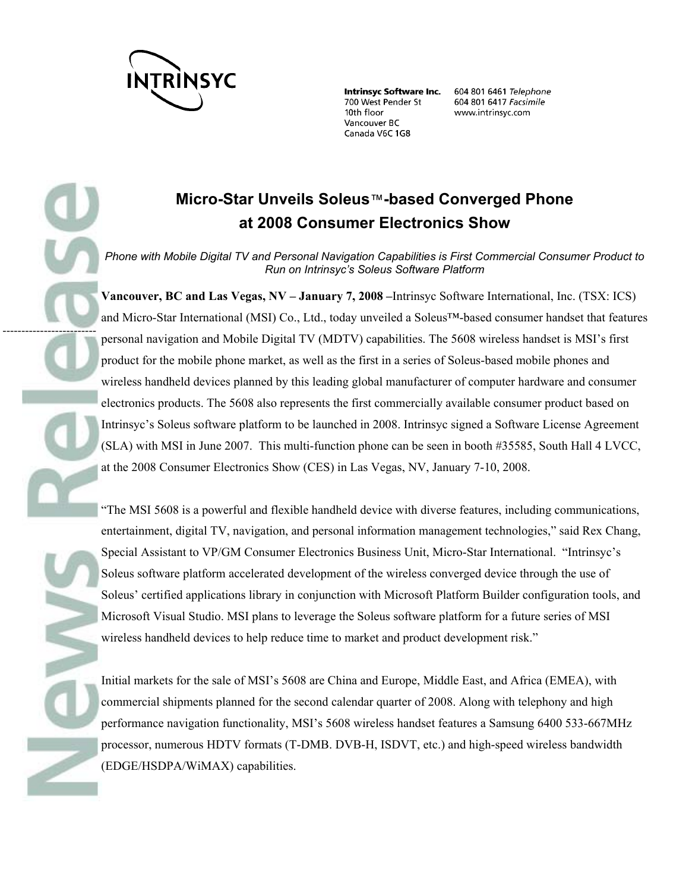

-------------------------

**Intrinsyc Software Inc.** 700 West Pender St 10th floor Vancouver BC Canada V6C 1G8

604 801 6461 Telephone 604 801 6417 Facsimile www.intrinsyc.com

# **Micro-Star Unveils Soleus**™**-based Converged Phone at 2008 Consumer Electronics Show**

*Phone with Mobile Digital TV and Personal Navigation Capabilities is First Commercial Consumer Product to Run on Intrinsyc's Soleus Software Platform*

**Vancouver, BC and Las Vegas, NV – January 7, 2008 –**Intrinsyc Software International, Inc. (TSX: ICS) and Micro-Star International (MSI) Co., Ltd., today unveiled a Soleus™-based consumer handset that features personal navigation and Mobile Digital TV (MDTV) capabilities. The 5608 wireless handset is MSI's first product for the mobile phone market, as well as the first in a series of Soleus-based mobile phones and wireless handheld devices planned by this leading global manufacturer of computer hardware and consumer electronics products. The 5608 also represents the first commercially available consumer product based on Intrinsyc's Soleus software platform to be launched in 2008. Intrinsyc signed a Software License Agreement (SLA) with MSI in June 2007. This multi-function phone can be seen in booth #35585, South Hall 4 LVCC, at the 2008 Consumer Electronics Show (CES) in Las Vegas, NV, January 7-10, 2008.

"The MSI 5608 is a powerful and flexible handheld device with diverse features, including communications, entertainment, digital TV, navigation, and personal information management technologies," said Rex Chang, Special Assistant to VP/GM Consumer Electronics Business Unit, Micro-Star International. "Intrinsyc's Soleus software platform accelerated development of the wireless converged device through the use of Soleus' certified applications library in conjunction with Microsoft Platform Builder configuration tools, and Microsoft Visual Studio. MSI plans to leverage the Soleus software platform for a future series of MSI wireless handheld devices to help reduce time to market and product development risk."

Initial markets for the sale of MSI's 5608 are China and Europe, Middle East, and Africa (EMEA), with commercial shipments planned for the second calendar quarter of 2008. Along with telephony and high performance navigation functionality, MSI's 5608 wireless handset features a Samsung 6400 533-667MHz processor, numerous HDTV formats (T-DMB. DVB-H, ISDVT, etc.) and high-speed wireless bandwidth (EDGE/HSDPA/WiMAX) capabilities.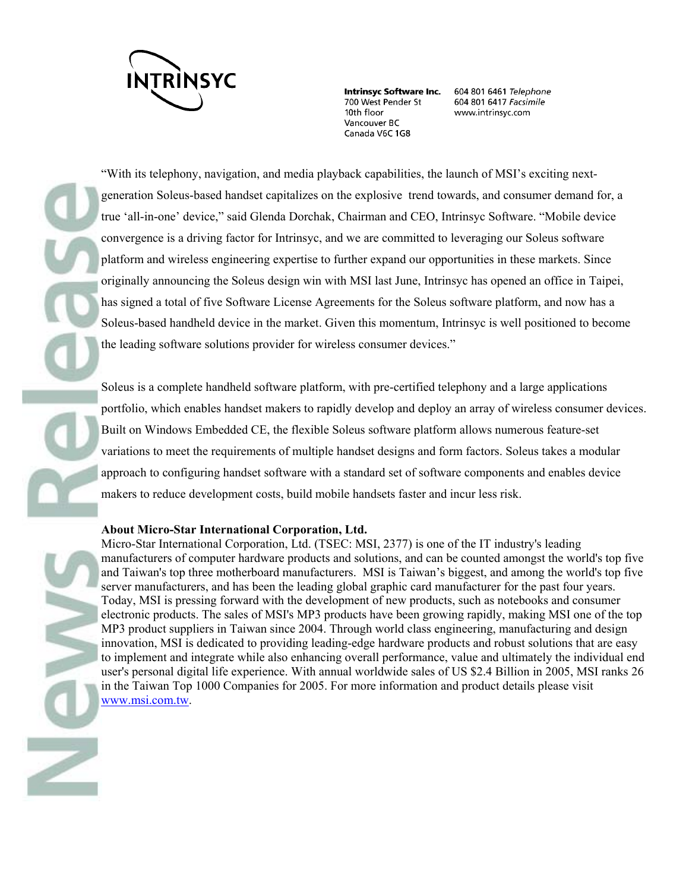

700 West Pender St 10th floor Vancouver BC Canada V6C 1G8

Intrinsyc Software Inc. 604 801 6461 Telephone 604 801 6417 Facsimile www.intrinsyc.com

"With its telephony, navigation, and media playback capabilities, the launch of MSI's exciting nextgeneration Soleus-based handset capitalizes on the explosive trend towards, and consumer demand for, a true 'all-in-one' device," said Glenda Dorchak, Chairman and CEO, Intrinsyc Software. "Mobile device convergence is a driving factor for Intrinsyc, and we are committed to leveraging our Soleus software platform and wireless engineering expertise to further expand our opportunities in these markets. Since originally announcing the Soleus design win with MSI last June, Intrinsyc has opened an office in Taipei, has signed a total of five Software License Agreements for the Soleus software platform, and now has a Soleus-based handheld device in the market. Given this momentum, Intrinsyc is well positioned to become the leading software solutions provider for wireless consumer devices."

Soleus is a complete handheld software platform, with pre-certified telephony and a large applications portfolio, which enables handset makers to rapidly develop and deploy an array of wireless consumer devices. Built on Windows Embedded CE, the flexible Soleus software platform allows numerous feature-set variations to meet the requirements of multiple handset designs and form factors. Soleus takes a modular approach to configuring handset software with a standard set of software components and enables device makers to reduce development costs, build mobile handsets faster and incur less risk.

#### **About Micro-Star International Corporation, Ltd.**

Micro-Star International Corporation, Ltd. (TSEC: MSI, 2377) is one of the IT industry's leading manufacturers of computer hardware products and solutions, and can be counted amongst the world's top five and Taiwan's top three motherboard manufacturers. MSI is Taiwan's biggest, and among the world's top five server manufacturers, and has been the leading global graphic card manufacturer for the past four years. Today, MSI is pressing forward with the development of new products, such as notebooks and consumer electronic products. The sales of MSI's MP3 products have been growing rapidly, making MSI one of the top MP3 product suppliers in Taiwan since 2004. Through world class engineering, manufacturing and design innovation, MSI is dedicated to providing leading-edge hardware products and robust solutions that are easy to implement and integrate while also enhancing overall performance, value and ultimately the individual end user's personal digital life experience. With annual worldwide sales of US \$2.4 Billion in 2005, MSI ranks 26 in the Taiwan Top 1000 Companies for 2005. For more information and product details please visit www.msi.com.tw.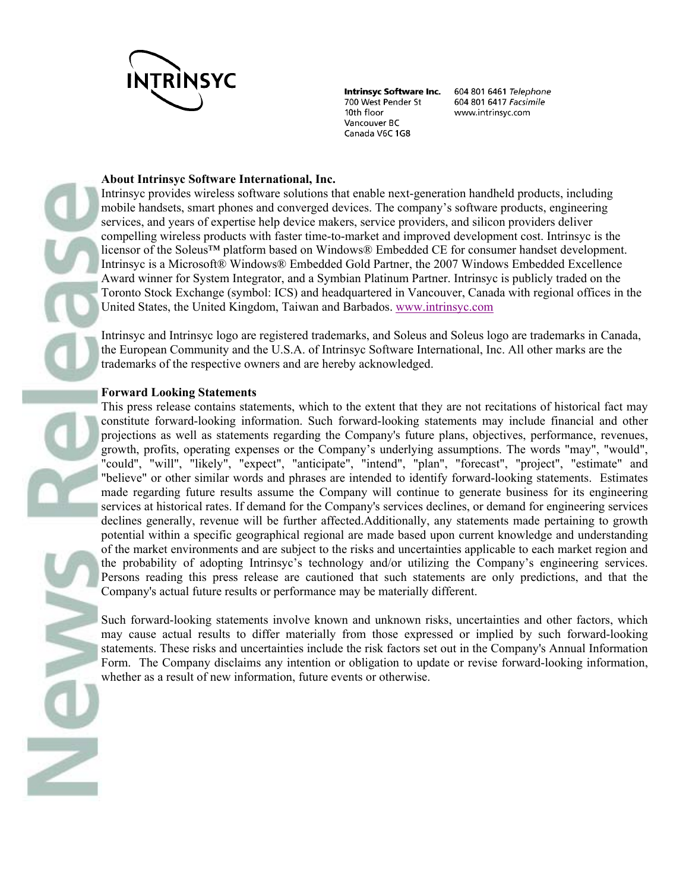

**Intrinsyc Software Inc.** 700 West Pender St 10th floor Vancouver BC Canada V6C 1G8

604 801 6461 Telephone 604 801 6417 Facsimile www.intrinsyc.com

#### **About Intrinsyc Software International, Inc.**

Intrinsyc provides wireless software solutions that enable next-generation handheld products, including mobile handsets, smart phones and converged devices. The company's software products, engineering services, and years of expertise help device makers, service providers, and silicon providers deliver compelling wireless products with faster time-to-market and improved development cost. Intrinsyc is the licensor of the Soleus™ platform based on Windows® Embedded CE for consumer handset development. Intrinsyc is a Microsoft® Windows® Embedded Gold Partner, the 2007 Windows Embedded Excellence Award winner for System Integrator, and a Symbian Platinum Partner. Intrinsyc is publicly traded on the Toronto Stock Exchange (symbol: ICS) and headquartered in Vancouver, Canada with regional offices in the United States, the United Kingdom, Taiwan and Barbados. www.intrinsyc.com

Intrinsyc and Intrinsyc logo are registered trademarks, and Soleus and Soleus logo are trademarks in Canada, the European Community and the U.S.A. of Intrinsyc Software International, Inc. All other marks are the trademarks of the respective owners and are hereby acknowledged.

### **Forward Looking Statements**

This press release contains statements, which to the extent that they are not recitations of historical fact may constitute forward-looking information. Such forward-looking statements may include financial and other projections as well as statements regarding the Company's future plans, objectives, performance, revenues, growth, profits, operating expenses or the Company's underlying assumptions. The words "may", "would", "could", "will", "likely", "expect", "anticipate", "intend", "plan", "forecast", "project", "estimate" and "believe" or other similar words and phrases are intended to identify forward-looking statements. Estimates made regarding future results assume the Company will continue to generate business for its engineering services at historical rates. If demand for the Company's services declines, or demand for engineering services declines generally, revenue will be further affected.Additionally, any statements made pertaining to growth potential within a specific geographical regional are made based upon current knowledge and understanding of the market environments and are subject to the risks and uncertainties applicable to each market region and the probability of adopting Intrinsyc's technology and/or utilizing the Company's engineering services. Persons reading this press release are cautioned that such statements are only predictions, and that the Company's actual future results or performance may be materially different.

Such forward-looking statements involve known and unknown risks, uncertainties and other factors, which may cause actual results to differ materially from those expressed or implied by such forward-looking statements. These risks and uncertainties include the risk factors set out in the Company's Annual Information Form. The Company disclaims any intention or obligation to update or revise forward-looking information, whether as a result of new information, future events or otherwise.